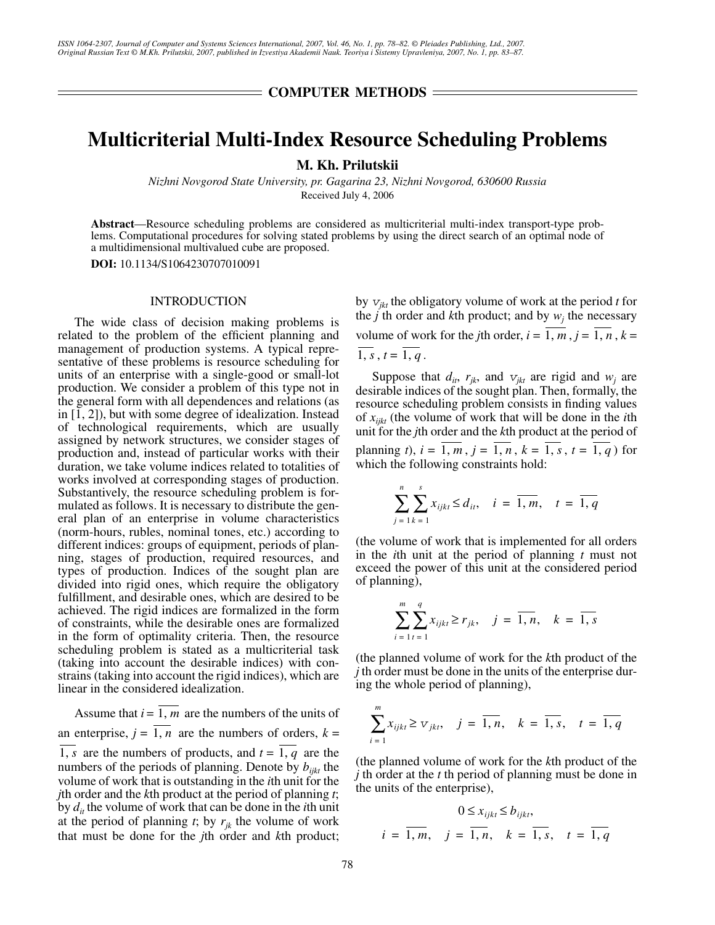$=$  COMPUTER METHODS  $=$ 

# **Multicriterial Multi-Index Resource Scheduling Problems**

**M. Kh. Prilutskii**

*Nizhni Novgorod State University, pr. Gagarina 23, Nizhni Novgorod, 630600 Russia* Received July 4, 2006

**Abstract**—Resource scheduling problems are considered as multicriterial multi-index transport-type problems. Computational procedures for solving stated problems by using the direct search of an optimal node of a multidimensional multivalued cube are proposed.

**DOI:** 10.1134/S1064230707010091

## INTRODUCTION

The wide class of decision making problems is related to the problem of the efficient planning and management of production systems. A typical representative of these problems is resource scheduling for units of an enterprise with a single-good or small-lot production. We consider a problem of this type not in the general form with all dependences and relations (as in [1, 2]), but with some degree of idealization. Instead of technological requirements, which are usually assigned by network structures, we consider stages of production and, instead of particular works with their duration, we take volume indices related to totalities of works involved at corresponding stages of production. Substantively, the resource scheduling problem is formulated as follows. It is necessary to distribute the general plan of an enterprise in volume characteristics (norm-hours, rubles, nominal tones, etc.) according to different indices: groups of equipment, periods of planning, stages of production, required resources, and types of production. Indices of the sought plan are divided into rigid ones, which require the obligatory fulfillment, and desirable ones, which are desired to be achieved. The rigid indices are formalized in the form of constraints, while the desirable ones are formalized in the form of optimality criteria. Then, the resource scheduling problem is stated as a multicriterial task (taking into account the desirable indices) with constrains (taking into account the rigid indices), which are linear in the considered idealization.

Assume that  $i = 1$ , *m* are the numbers of the units of an enterprise,  $j = 1, n$  are the numbers of orders,  $k =$ are the numbers of products, and  $t = 1$ , q are the numbers of the periods of planning. Denote by  $b_{ijk}$  the volume of work that is outstanding in the *i*th unit for the *j*th order and the *k*th product at the period of planning *t*; by *dit* the volume of work that can be done in the *i*th unit at the period of planning  $t$ ; by  $r_{jk}$  the volume of work that must be done for the *j*th order and *k*th product; 1, *s* are the numbers of products, and  $t = 1$ , q

by  $v_{jkt}$  the obligatory volume of work at the period *t* for the *j* th order and *k*th product; and by  $w_j$  the necessary volume of work for the *j*th order,  $i = 1, m, j = 1, n, k =$  $1, s, t = 1, q$ .

Suppose that  $d_{it}$ ,  $r_{jk}$ , and  $v_{jkt}$  are rigid and  $w_j$  are desirable indices of the sought plan. Then, formally, the resource scheduling problem consists in finding values of *xijkt* (the volume of work that will be done in the *i*th unit for the *j*th order and the *k*th product at the period of planning *t*),  $i = 1, m$ ,  $j = 1, n$ ,  $k = 1, s$ ,  $t = 1, q$ ) for which the following constraints hold:

$$
\sum_{j=1}^{n} \sum_{k=1}^{s} x_{ijkl} \le d_{ii}, \quad i = \overline{1, m}, \quad t = \overline{1, q}
$$

(the volume of work that is implemented for all orders in the *i*th unit at the period of planning *t* must not exceed the power of this unit at the considered period of planning),

$$
\sum_{i=1}^{m} \sum_{t=1}^{q} x_{i j k t} \ge r_{j k}, \quad j = \overline{1, n}, \quad k = \overline{1, s}
$$

(the planned volume of work for the *k*th product of the *j* th order must be done in the units of the enterprise during the whole period of planning),

$$
\sum_{i=1}^{m} x_{ijkt} \geq v_{jkt}, \quad j = \overline{1, n}, \quad k = \overline{1, s}, \quad t = \overline{1, q}
$$

(the planned volume of work for the *k*th product of the *j* th order at the *t* th period of planning must be done in the units of the enterprise),

$$
0 \le x_{ijkt} \le b_{ijkt},
$$
  
 $i = \overline{1, m}, \quad j = \overline{1, n}, \quad k = \overline{1, s}, \quad t = \overline{1, q}$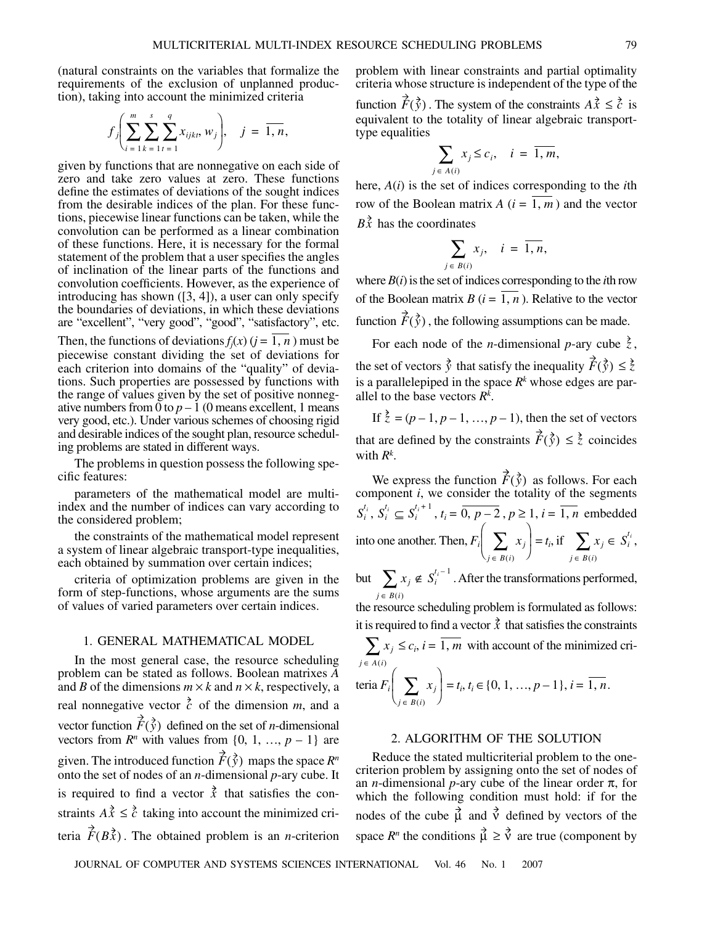(natural constraints on the variables that formalize the requirements of the exclusion of unplanned production), taking into account the minimized criteria

$$
f_j\left(\sum_{i=1}^m \sum_{k=1}^s \sum_{t=1}^q x_{ijk}, w_j\right), \quad j = \overline{1, n},
$$

given by functions that are nonnegative on each side of zero and take zero values at zero. These functions define the estimates of deviations of the sought indices from the desirable indices of the plan. For these functions, piecewise linear functions can be taken, while the convolution can be performed as a linear combination of these functions. Here, it is necessary for the formal statement of the problem that a user specifies the angles of inclination of the linear parts of the functions and convolution coefficients. However, as the experience of introducing has shown ([3, 4]), a user can only specify the boundaries of deviations, in which these deviations are "excellent", "very good", "good", "satisfactory", etc.

Then, the functions of deviations  $f_j(x)$  ( $j = 1, n$ ) must be piecewise constant dividing the set of deviations for each criterion into domains of the "quality" of deviations. Such properties are possessed by functions with the range of values given by the set of positive nonnegative numbers from 0 to  $p-1$  (0 means excellent, 1 means very good, etc.). Under various schemes of choosing rigid and desirable indices of the sought plan, resource scheduling problems are stated in different ways.

The problems in question possess the following specific features:

parameters of the mathematical model are multiindex and the number of indices can vary according to the considered problem;

the constraints of the mathematical model represent a system of linear algebraic transport-type inequalities, each obtained by summation over certain indices;

criteria of optimization problems are given in the form of step-functions, whose arguments are the sums of values of varied parameters over certain indices.

#### 1. GENERAL MATHEMATICAL MODEL

In the most general case, the resource scheduling problem can be stated as follows. Boolean matrixes *A* and *B* of the dimensions  $m \times k$  and  $n \times k$ , respectively, a real nonnegative vector  $\vec{c}$  of the dimension  $m$ , and a vector function  $F(\vec{y})$  defined on the set of *n*-dimensional vectors from  $R^n$  with values from  $\{0, 1, ..., p - 1\}$  are given. The introduced function  $\hat{F}(\vec{y})$  maps the space  $R^n$ onto the set of nodes of an *n*-dimensional *p*-ary cube. It is required to find a vector  $\vec{x}$  that satisfies the constraints  $A\vec{x} \leq \vec{c}$  taking into account the minimized criteria  $F(B\vec{x})$ . The obtained problem is an *n*-criterion

problem with linear constraints and partial optimality criteria whose structure is independent of the type of the

function  $F(\vec{y})$ . The system of the constraints  $A\vec{x} \leq \vec{c}$  is equivalent to the totality of linear algebraic transporttype equalities

$$
\sum_{j \in A(i)} x_j \leq c_i, \quad i = \overline{1, m},
$$

here, *A*(*i*) is the set of indices corresponding to the *i*th row of the Boolean matrix  $A(i = 1, m)$  and the vector  $B\vec{x}$  has the coordinates

$$
\sum_{j \in B(i)} x_j, \quad i = \overline{1, n},
$$

where  $B(i)$  is the set of indices corresponding to the *i*th row of the Boolean matrix  $B(i = 1, n)$ . Relative to the vector function  $F(\bar{y})$ , the following assumptions can be made.

For each node of the *n*-dimensional *p*-ary cube  $\zeta$ , the set of vectors  $\vec{y}$  that satisfy the inequality  $F(\vec{y}) \leq \vec{z}$ is a parallelepiped in the space  $R^k$  whose edges are parallel to the base vectors *Rk* .

If  $\zeta = (p-1, p-1, ..., p-1)$ , then the set of vectors that are defined by the constraints  $F(\vec{y}) \leq \vec{z}$  coincides with *Rk* .

We express the function  $F(\vec{y})$  as follows. For each component *i*, we consider the totality of the segments  $S_i^{t_i}$ ,  $S_i^{t_i} \subseteq S_i^{t_i+1}$ ,  $t_i = \overline{0, p-2}$ ,  $p \ge 1$ ,  $i = \overline{1, n}$  embedded into one another. Then,  $F_i \begin{bmatrix} \sum x_j \end{bmatrix} = t_i$ , if  $\sum x_j \in S_i^{t_i}$ ,  $\dot{F}(\bar{\hat{y}})$  $\left(\sum_{j \in B(i)} x_j\right)$ *x j*  $\sum_{j \in B(i)} x_j \in S_i^{t_i}$ 

but  $\sum x_j \notin S_i^{(i)}$ . After the transformations performed,  $\sum_{j \in B(i)} x_j \notin S_i^{t_i-1}$ 

the resource scheduling problem is formulated as follows: it is required to find a vector  $\vec{x}$  that satisfies the constraints

 $\leq c_i$ , *i* = 1, *m* with account of the minimized cri- $\text{teria } F_i \Big| \sum x_j \Big| = t_i, t_i \in \{0, 1, ..., p-1\}, i = 1, n.$ *x j*  $\sum_{j \in A(i)} x_j \leq c_i, i = \overline{1, m}$ *x j*  $\left(\sum_{j \in B(i)} x_j\right) = t_i, t_i \in \{0, 1, ..., p-1\}, i = \overline{1, n}$ 

## 2. ALGORITHM OF THE SOLUTION

Reduce the stated multicriterial problem to the onecriterion problem by assigning onto the set of nodes of an *n*-dimensional *p*-ary cube of the linear order  $\pi$ , for which the following condition must hold: if for the nodes of the cube  $\mu$  and  $\dot{\nu}$  defined by vectors of the space  $R^n$  the conditions  $\vec{\mu} \geq \vec{v}$  are true (component by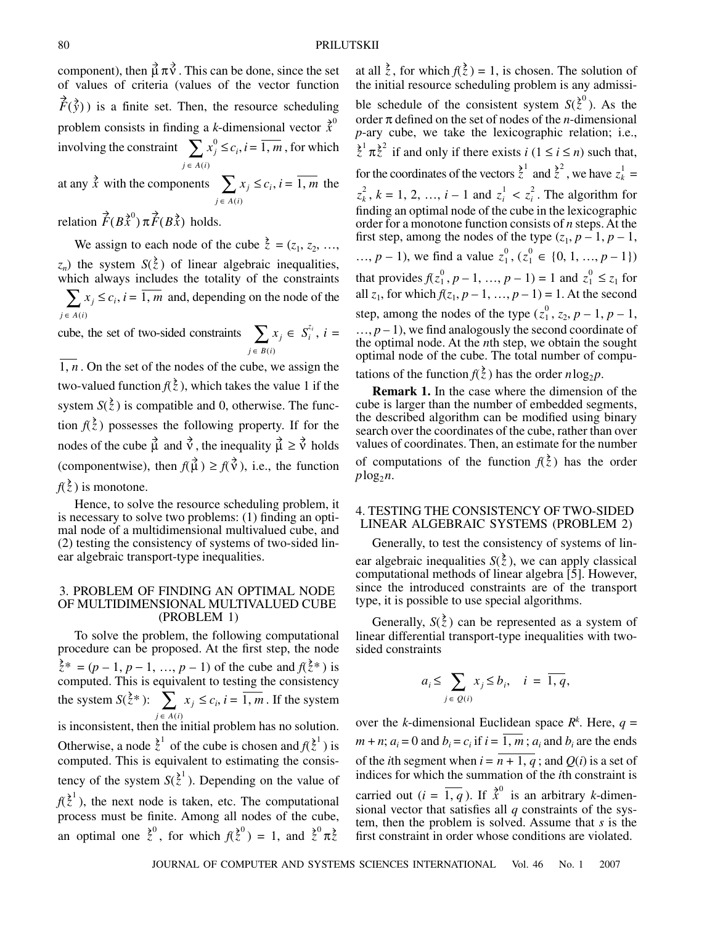component), then  $\vec{\mu} \pi \vec{v}$ . This can be done, since the set of values of criteria (values of the vector function  $F(\vec{y})$ ) is a finite set. Then, the resource scheduling problem consists in finding a *k*-dimensional vector  $\hat{\vec{x}}^0$ involving the constraint  $\sum x_j^0 \leq c_i, i = 1, m$ , for which at any  $\vec{x}$  with the components  $\sum x_j \leq c_i, i = 1, m$  the  $x_j^0$  $\sum_{j \in A(i)} x_j^0 \le c_i, i = \overline{1, m}$  $\vec{x}$  with the components  $\sum x_j$  $\sum_{j \in A(i)} x_j \leq c_i, i = \overline{1, m}$ 

relation  $\vec{F}(B\vec{x}^0)$   $\vec{\pi}$   $\vec{F}(B\vec{x})$  holds.

We assign to each node of the cube  $\vec{z} = (z_1, z_2, \ldots, z_n)$  $z_n$ ) the system  $S(\xi)$  of linear algebraic inequalities, which always includes the totality of the constraints  $\sum x_j \leq c_i$ , *i* =  $\overline{1, m}$  and, depending on the node of the  $j \in A(i)$ 

cube, the set of two-sided constraints  $\sum x_j \in S_i^{i}$ ,  $i =$  $\sum_{j \in B(i)} x_j \in S_i^{z_i}$ 

 $1, n$ . On the set of the nodes of the cube, we assign the two-valued function  $f(\bar{z})$ , which takes the value 1 if the system  $S(\xi)$  is compatible and 0, otherwise. The function  $f(\xi)$  possesses the following property. If for the nodes of the cube  $\hat{\mu}$  and  $\hat{\nu}$ , the inequality  $\hat{\mu} \ge \hat{\nu}$  holds (componentwise), then  $f(\vec{\mu}) \geq f(\vec{v})$ , i.e., the function  $f(\xi)$  is monotone.

Hence, to solve the resource scheduling problem, it is necessary to solve two problems: (1) finding an optimal node of a multidimensional multivalued cube, and (2) testing the consistency of systems of two-sided linear algebraic transport-type inequalities.

#### 3. PROBLEM OF FINDING AN OPTIMAL NODE OF MULTIDIMENSIONAL MULTIVALUED CUBE (PROBLEM 1)

To solve the problem, the following computational procedure can be proposed. At the first step, the node  $\zeta^* = (p-1, p-1, ..., p-1)$  of the cube and  $f(\zeta^*)$  is computed. This is equivalent to testing the consistency the system  $S(\bar{z}^*)$ :  $\sum x_j \leq c_i, i = 1, m$ . If the system is inconsistent, then the initial problem has no solution. Otherwise, a node  $\zeta^1$  of the cube is chosen and  $f(\zeta^1)$  is computed. This is equivalent to estimating the consistency of the system  $S(\lambda^1)$ . Depending on the value of  $f(\xi^{\geq 1})$ , the next node is taken, etc. The computational process must be finite. Among all nodes of the cube, an optimal one  $\dot{z}^0$ , for which  $f(\dot{z}^0) = 1$ , and  $\dot{z}^0 \pi \dot{z}$  $\zeta^*$  ):  $\sum x_j$  $\sum_{j \in A(i)} x_j \leq c_i, i = \overline{1, m}$  $\bar{z}^1$  of the cube is chosen and  $f(\bar{z}^1)$ 

at all  $\zeta$ , for which  $f(\zeta) = 1$ , is chosen. The solution of the initial resource scheduling problem is any admissible schedule of the consistent system  $S(\vec{z})$ . As the order π defined on the set of nodes of the *n*-dimensional *p*-ary cube, we take the lexicographic relation; i.e.,  $\overline{z}^1 \pi \overline{z}^2$  if and only if there exists *i*  $(1 \le i \le n)$  such that, for the coordinates of the vectors  $\dot{z}^1$  and  $\dot{z}^2$ , we have  $z^1_k =$  $z_k^2$ ,  $k = 1, 2, ..., i - 1$  and  $z_i^1 < z_i^2$ . The algorithm for finding an optimal node of the cube in the lexicographic order for a monotone function consists of *n* steps. At the first step, among the nodes of the type  $(z_1, p-1, p-1,$ ...,  $p-1$ ), we find a value  $z_1^0$ ,  $(z_1^0 \in \{0, 1, ..., p-1\})$ that provides  $f(z_1^0, p-1, ..., p-1) = 1$  and  $z_1^0 \le z_1$  for all  $z_1$ , for which  $f(z_1, p - 1, ..., p - 1) = 1$ . At the second step, among the nodes of the type  $(z_1^0, z_2, p-1, p-1)$ ,  $..., p-1$ , we find analogously the second coordinate of the optimal node. At the *n*th step, we obtain the sought optimal node of the cube. The total number of computations of the function  $f(\bar{z})$  has the order  $n \log_2 p$ . *z* 0  $z_1^0, p-1, ..., p-1$  = 1 and  $z_1^0$ 

**Remark 1.** In the case where the dimension of the cube is larger than the number of embedded segments, the described algorithm can be modified using binary search over the coordinates of the cube, rather than over values of coordinates. Then, an estimate for the number of computations of the function  $f(\xi)$  has the order  $p \log_2 n$ .

### 4. TESTING THE CONSISTENCY OF TWO-SIDED LINEAR ALGEBRAIC SYSTEMS (PROBLEM 2)

Generally, to test the consistency of systems of linear algebraic inequalities  $S(\zeta)$ , we can apply classical computational methods of linear algebra [5]. However, since the introduced constraints are of the transport type, it is possible to use special algorithms.

Generally,  $S(\xi)$  can be represented as a system of linear differential transport-type inequalities with twosided constraints

$$
a_i \le \sum_{j \in \mathcal{Q}(i)} x_j \le b_i, \quad i = \overline{1, q},
$$

over the *k*-dimensional Euclidean space  $R^k$ . Here,  $q =$  $m + n$ ;  $a_i = 0$  and  $b_i = c_i$  if  $i = 1, m$ ;  $a_i$  and  $b_i$  are the ends of the *i*th segment when  $i = n + 1$ ,  $q$ ; and  $Q(i)$  is a set of indices for which the summation of the *i*th constraint is carried out  $(i = \overline{1, q})$ . If  $\vec{x}^0$  is an arbitrary *k*-dimensional vector that satisfies all *q* constraints of the system, then the problem is solved. Assume that *s* is the first constraint in order whose conditions are violated.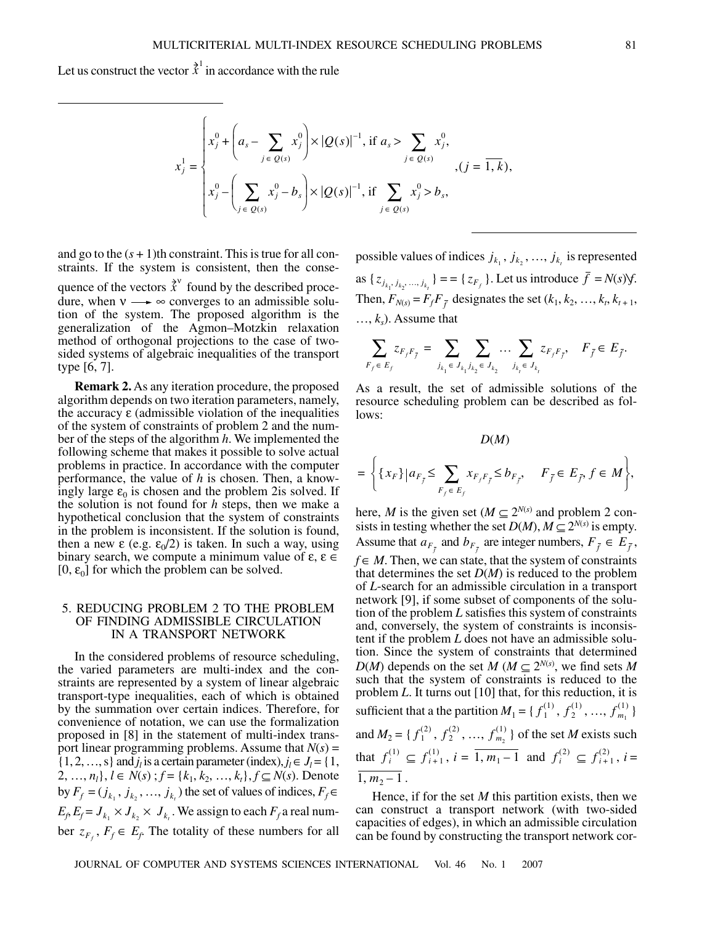Let us construct the vector  $\hat{\vec{x}}^1$  in accordance with the rule

$$
x_j^1 = \begin{cases} x_j^0 + \left( a_s - \sum_{j \in Q(s)} x_j^0 \right) \times |Q(s)|^{-1}, \text{ if } a_s > \sum_{j \in Q(s)} x_j^0, \\ x_j^0 - \left( \sum_{j \in Q(s)} x_j^0 - b_s \right) \times |Q(s)|^{-1}, \text{ if } \sum_{j \in Q(s)} x_j^0 > b_s, \end{cases}, (j = \overline{1, k}),
$$

and go to the  $(s + 1)$ th constraint. This is true for all constraints. If the system is consistent, then the consequence of the vectors  $\vec{x}^v$  found by the described procedure, when  $v \rightarrow \infty$  converges to an admissible solution of the system. The proposed algorithm is the generalization of the Agmon–Motzkin relaxation method of orthogonal projections to the case of twosided systems of algebraic inequalities of the transport type [6, 7].

**Remark 2.** As any iteration procedure, the proposed algorithm depends on two iteration parameters, namely, the accuracy  $\varepsilon$  (admissible violation of the inequalities of the system of constraints of problem 2 and the number of the steps of the algorithm *h*. We implemented the following scheme that makes it possible to solve actual problems in practice. In accordance with the computer performance, the value of *h* is chosen. Then, a knowingly large  $\varepsilon_0$  is chosen and the problem 2is solved. If the solution is not found for *h* steps, then we make a hypothetical conclusion that the system of constraints in the problem is inconsistent. If the solution is found, then a new  $\varepsilon$  (e.g.  $\varepsilon_0/2$ ) is taken. In such a way, using binary search, we compute a minimum value of  $\varepsilon$ ,  $\varepsilon \in$ [0,  $\varepsilon_0$ ] for which the problem can be solved.

### 5. REDUCING PROBLEM 2 TO THE PROBLEM OF FINDING ADMISSIBLE CIRCULATION IN A TRANSPORT NETWORK

In the considered problems of resource scheduling, the varied parameters are multi-index and the constraints are represented by a system of linear algebraic transport-type inequalities, each of which is obtained by the summation over certain indices. Therefore, for convenience of notation, we can use the formalization proposed in [8] in the statement of multi-index transport linear programming problems. Assume that  $N(s)$  =  $\{1, 2, ..., s\}$  and  $j_l$  is a certain parameter (index),  $j_l \in J_l = \{1,$ 2, ..., *n*<sub>l</sub>}, *l* ∈ *N*(*s*) ; *f* = { $k_1, k_2, ..., k_t$ }, *f* ⊆ *N*(*s*). Denote by  $F_f = (j_{k_1}, j_{k_2}, \dots, j_{k_t})$  the set of values of indices,  $F_f \in$  $E_f$ ,  $E_f$  =  $J_{k_1} \times J_{k_2} \times J_{k_t}$ . We assign to each  $F_f$  a real number  $z_{F_f}$ ,  $F_f \in E_f$ . The totality of these numbers for all

possible values of indices  $j_{k_1}, j_{k_2}, \ldots, j_{k_t}$  is represented as  $\{z_{j_{k_1}, j_{k_2},..., j_{k_t}}\} = \{z_{F_f}\}\.$  Let us introduce  $f = N(s)$   $\forall$ . Then,  $F_{N(s)} = F_f F_{\bar{f}}$  designates the set  $(k_1, k_2, ..., k_t, k_{t+1},$  $..., k_s$ ). Assume that

$$
\sum_{F_f \in E_f} z_{F_f F_{\bar f}} = \sum_{j_{k_1} \in J_{k_1} j_{k_2} \in J_{k_2}} \cdots \sum_{j_{k_t} \in J_{k_t}} z_{F_f F_{\bar f}}, \quad F_{\bar f} \in E_{\bar f}.
$$

As a result, the set of admissible solutions of the resource scheduling problem can be described as follows:

$$
D(M)
$$
  
= 
$$
\left\{ \{x_F\} | a_{F_{\bar{j}}} \leq \sum_{F_f \in E_f} x_{F_f F_{\bar{j}}} \leq b_{F_{\bar{j}}}, \quad F_{\bar{j}} \in E_{\bar{j}}, f \in M \right\},\
$$

here, *M* is the given set ( $M \subseteq 2^{N(s)}$  and problem 2 consists in testing whether the set  $D(M)$ ,  $M \subseteq 2^{N(s)}$  is empty. Assume that  $a_{F_{\bar{f}}}$  and  $b_{F_{\bar{f}}}$  are integer numbers,  $F_{\bar{f}} \in E_{\bar{f}}$ ,  $f \in M$ . Then, we can state, that the system of constraints that determines the set  $D(M)$  is reduced to the problem of *L*-search for an admissible circulation in a transport network [9], if some subset of components of the solution of the problem *L* satisfies this system of constraints and, conversely, the system of constraints is inconsistent if the problem *L* does not have an admissible solution. Since the system of constraints that determined *D*(*M*) depends on the set *M* ( $M \subseteq 2^{N(s)}$ , we find sets *M* such that the system of constraints is reduced to the problem *L*. It turns out [10] that, for this reduction, it is sufficient that a the partition  $M_1 = \{f_1^{(1)}, f_2^{(1)}, ..., f_{m_1}^{(1)}\}$ and  $M_2 = \{f_1^{(2)}, f_2^{(2)}, ..., f_{m_2}^{(1)}\}$  of the set *M* exists such that  $f_i^{(1)} \subseteq f_{i+1}^{(1)}$ ,  $i = \overline{1, m_1 - 1}$  and  $f_i^{(2)} \subseteq f_{i+1}^{(2)}$ ,  $i =$  $1, m_2 - 1$ .

Hence, if for the set  $M$  this partition exists, then we can construct a transport network (with two-sided capacities of edges), in which an admissible circulation can be found by constructing the transport network cor